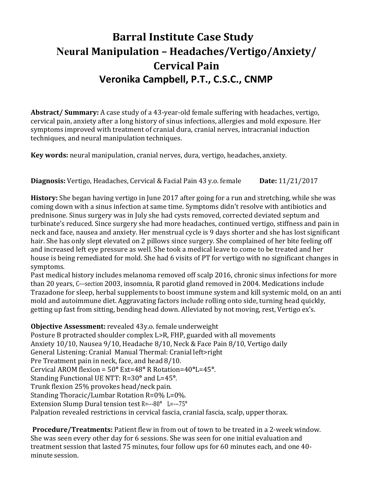# **Barral Institute Case Study Neural Manipulation – Headaches/Vertigo/Anxiety/ Cervical** Pain **Veronika Campbell, P.T., C.S.C., CNMP**

**Abstract/ Summary:** A case study of a 43-year-old female suffering with headaches, vertigo, cervical pain, anxiety after a long history of sinus infections, allergies and mold exposure. Her symptoms improved with treatment of cranial dura, cranial nerves, intracranial induction techniques, and neural manipulation techniques.

**Key words:** neural manipulation, cranial nerves, dura, vertigo, headaches, anxiety.

**Diagnosis:** Vertigo, Headaches, Cervical & Facial Pain 43 y.o. female **Date:** 11/21/2017

**History:** She began having vertigo in June 2017 after going for a run and stretching, while she was coming down with a sinus infection at same time. Symptoms didn't resolve with antibiotics and prednisone. Sinus surgery was in July she had cysts removed, corrected deviated septum and turbinate's reduced. Since surgery she had more headaches, continued vertigo, stiffness and pain in neck and face, nausea and anxiety. Her menstrual cycle is 9 days shorter and she has lost significant hair. She has only slept elevated on 2 pillows since surgery. She complained of her bite feeling off and increased left eye pressure as well. She took a medical leave to come to be treated and her house is being remediated for mold. She had 6 visits of PT for vertigo with no significant changes in symptoms.

Past medical history includes melanoma removed off scalp 2016, chronic sinus infections for more than 20 years, C---section 2003, insomnia, R parotid gland removed in 2004. Medications include Trazadone for sleep, herbal supplements to boost immune system and kill systemic mold, on an anti mold and autoimmune diet. Aggravating factors include rolling onto side, turning head quickly, getting up fast from sitting, bending head down. Alleviated by not moving, rest, Vertigo ex's.

**Objective Assessment:** revealed 43y.o. female underweight

Posture B protracted shoulder complex L>R, FHP, guarded with all movements Anxiety 10/10, Nausea 9/10, Headache 8/10, Neck & Face Pain 8/10, Vertigo daily General Listening: Cranial Manual Thermal: Cranial left>right Pre Treatment pain in neck, face, and head 8/10. Cervical AROM flexion = 50**°** Ext=48**°** R Rotation=40**°**L=45**°**. Standing Functional UE NTT: R=30**°** and L=45**°**. Trunk flexion 25% provokes head/neck pain. Standing Thoracic/Lumbar Rotation R=0% L=0%. Extension Slump Dural tension test R=---80**°** L=---75**°** Palpation revealed restrictions in cervical fascia, cranial fascia, scalp, upper thorax.

**Procedure/Treatments:** Patient flew in from out of town to be treated in a 2-week window. She was seen every other day for 6 sessions. She was seen for one initial evaluation and treatment session that lasted 75 minutes, four follow ups for 60 minutes each, and one 40 minute session.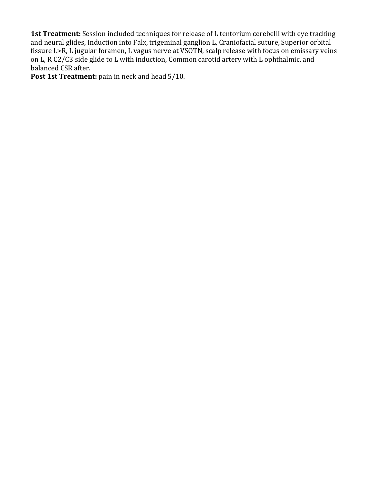**1st Treatment:** Session included techniques for release of L tentorium cerebelli with eye tracking and neural glides, Induction into Falx, trigeminal ganglion L, Craniofacial suture, Superior orbital fissure L>R, L jugular foramen, L vagus nerve at VSOTN, scalp release with focus on emissary veins on L, R C2/C3 side glide to L with induction, Common carotid artery with L ophthalmic, and balanced CSR after.

**Post 1st Treatment:** pain in neck and head 5/10.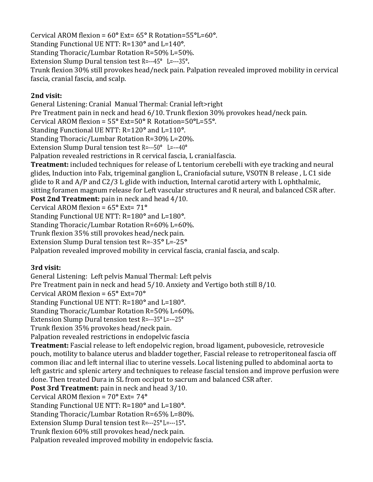Cervical AROM flexion = 60**°** Ext= 65**°** R Rotation=55**°**L=60**°**. Standing Functional UE NTT: R=130**°** and L=140**°**. Standing Thoracic/Lumbar Rotation R=50% L=50%. Extension Slump Dural tension test R=---45**°** L=---35**°.** Trunk flexion 30% still provokes head/neck pain. Palpation revealed improved mobility in cervical fascia, cranial fascia, and scalp.

### **2nd visit:**

General Listening: Cranial Manual Thermal: Cranial left>right Pre Treatment pain in neck and head 6/10. Trunk flexion 30% provokes head/neck pain. Cervical AROM flexion = 55**°** Ext=50**°** R Rotation=50**°**L=55**°**. Standing Functional UE NTT: R=120**°** and L=110**°**. Standing Thoracic/Lumbar Rotation R=30% L=20%. Extension Slump Dural tension test R=---50**°** L=---40**°** Palpation revealed restrictions in R cervical fascia, L cranial fascia. **Treatment:** included techniques for release of L tentorium cerebelli with eye tracking and neural glides, Induction into Falx, trigeminal ganglion L, Craniofacial suture, VSOTN B release , L C1 side glide to R and A/P and C2/3 L glide with induction, Internal carotid artery with L ophthalmic, sitting foramen magnum release for Left vascular structures and R neural, and balanced CSR after. **Post 2nd Treatment:** pain in neck and head 4/10. Cervical AROM flexion = 65**°** Ext= 71**°** Standing Functional UE NTT: R=180**°** and L=180**°**.

Standing Thoracic/Lumbar Rotation R=60% L=60%. Trunk flexion 35% still provokes head/neck pain.

Extension Slump Dural tension test R=---35**°** L=---25**°**

Palpation revealed improved mobility in cervical fascia, cranial fascia, and scalp.

## **3rd visit:**

General Listening: Left pelvis Manual Thermal: Left pelvis Pre Treatment pain in neck and head 5/10. Anxiety and Vertigo both still 8/10. Cervical AROM flexion = 65**°** Ext=70**°** Standing Functional UE NTT: R=180**°** and L=180**°**. Standing Thoracic/Lumbar Rotation R=50% L=60%. Extension Slump Dural tension test R=---35**°** L=---25**°**  Trunk flexion 35% provokes head/neck pain. Palpation revealed restrictions in endopelvic fascia **Treatment:** Fascial release to left endopelvic region, broad ligament, pubovesicle, retrovesicle pouch, motility to balance uterus and bladder together, Fascial release to retroperitoneal fascia off common iliac and left internal iliac to uterine vessels. Local listening pulled to abdominal aorta to left gastric and splenic artery and techniques to release fascial tension and improve perfusion were done. Then treated Dura in SL from occiput to sacrum and balanced CSR after. **Post 3rd Treatment:** pain in neck and head 3/10. Cervical AROM flexion = 70**°** Ext= 74**°** Standing Functional UE NTT: R=180**°** and L=180**°**. Standing Thoracic/Lumbar Rotation R=65% L=80%. Extension Slump Dural tension test R=---25**°** L=---15**°.**  Trunk flexion 60% still provokes head/neck pain.

Palpation revealed improved mobility in endopelvic fascia.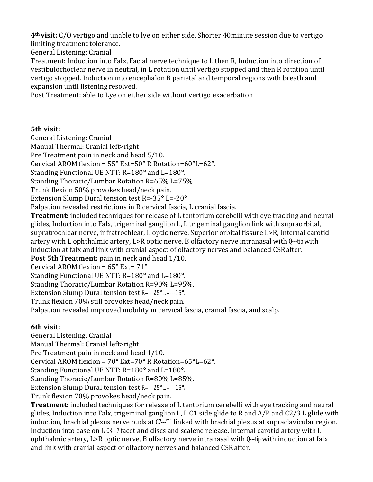**4th visit:** C/O vertigo and unable to lye on either side. Shorter 40minute session due to vertigo limiting treatment tolerance.

General Listening: Cranial

Treatment: Induction into Falx, Facial nerve technique to L then R, Induction into direction of vestibulochoclear nerve in neutral, in L rotation until vertigo stopped and then R rotation until vertigo stopped. Induction into encephalon B parietal and temporal regions with breath and expansion until listening resolved.

Post Treatment: able to Lye on either side without vertigo exacerbation

#### **5th visit:**

General Listening: Cranial

Manual Thermal: Cranial left>right

Pre Treatment pain in neck and head 5/10.

Cervical AROM flexion = 55**°** Ext=50**°** R Rotation=60**°**L=62**°**.

Standing Functional UE NTT: R=180**°** and L=180**°**.

Standing Thoracic/Lumbar Rotation R=65% L=75%.

Trunk flexion 50% provokes head/neck pain.

Extension Slump Dural tension test R=-35° L=-20°

Palpation revealed restrictions in R cervical fascia, L cranial fascia.

**Treatment:** included techniques for release of L tentorium cerebelli with eye tracking and neural glides, Induction into Falx, trigeminal ganglion L, L trigeminal ganglion link with supraorbital, supratrochlear nerve, infratrochlear, L optic nerve. Superior orbital fissure L>R, Internal carotid artery with L ophthalmic artery, L>R optic nerve, B olfactory nerve intranasal with Q---tip with induction at falx and link with cranial aspect of olfactory nerves and balanced CSR after.

**Post 5th Treatment:** pain in neck and head 1/10.

Cervical AROM flexion = 65**°** Ext= 71**°**

Standing Functional UE NTT: R=180**°** and L=180**°**.

Standing Thoracic/Lumbar Rotation R=90% L=95%.

Extension Slump Dural tension test R=---25**°** L=---15**°.** 

Trunk flexion 70% still provokes head/neck pain.

Palpation revealed improved mobility in cervical fascia, cranial fascia, and scalp.

#### **6th visit:**

General Listening: Cranial Manual Thermal: Cranial left>right Pre Treatment pain in neck and head 1/10. Cervical AROM flexion = 70**°** Ext=70**°** R Rotation=65**°**L=62**°**. Standing Functional UE NTT: R=180**°** and L=180**°**. Standing Thoracic/Lumbar Rotation R=80% L=85%. Extension Slump Dural tension test R=---25**°** L=---15**°.**  Trunk flexion 70% provokes head/neck pain.

**Treatment:** included techniques for release of L tentorium cerebelli with eye tracking and neural glides, Induction into Falx, trigeminal ganglion L, L C1 side glide to R and A/P and C2/3 L glide with induction, brachial plexus nerve buds at C7---T1 linked with brachial plexus at supraclavicular region. Induction into ease on L C3---7 facet and discs and scalene release. Internal carotid artery with L ophthalmic artery, L>R optic nerve, B olfactory nerve intranasal with Q---tip with induction at falx and link with cranial aspect of olfactory nerves and balanced CSR after.